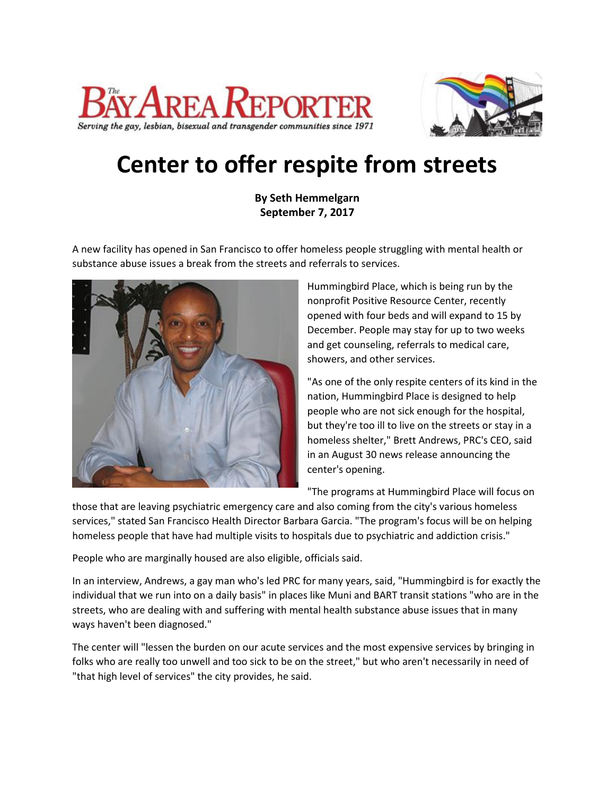



## **Center to offer respite from streets**

## **By Seth Hemmelgarn September 7, 2017**

A new facility has opened in San Francisco to offer homeless people struggling with mental health or substance abuse issues a break from the streets and referrals to services.



Hummingbird Place, which is being run by the nonprofit Positive Resource Center, recently opened with four beds and will expand to 15 by December. People may stay for up to two weeks and get counseling, referrals to medical care, showers, and other services.

"As one of the only respite centers of its kind in the nation, Hummingbird Place is designed to help people who are not sick enough for the hospital, but they're too ill to live on the streets or stay in a homeless shelter," Brett Andrews, PRC's CEO, said in an August 30 news release announcing the center's opening.

"The programs at Hummingbird Place will focus on

those that are leaving psychiatric emergency care and also coming from the city's various homeless services," stated San Francisco Health Director Barbara Garcia. "The program's focus will be on helping homeless people that have had multiple visits to hospitals due to psychiatric and addiction crisis."

People who are marginally housed are also eligible, officials said.

In an interview, Andrews, a gay man who's led PRC for many years, said, "Hummingbird is for exactly the individual that we run into on a daily basis" in places like Muni and BART transit stations "who are in the streets, who are dealing with and suffering with mental health substance abuse issues that in many ways haven't been diagnosed."

The center will "lessen the burden on our acute services and the most expensive services by bringing in folks who are really too unwell and too sick to be on the street," but who aren't necessarily in need of "that high level of services" the city provides, he said.